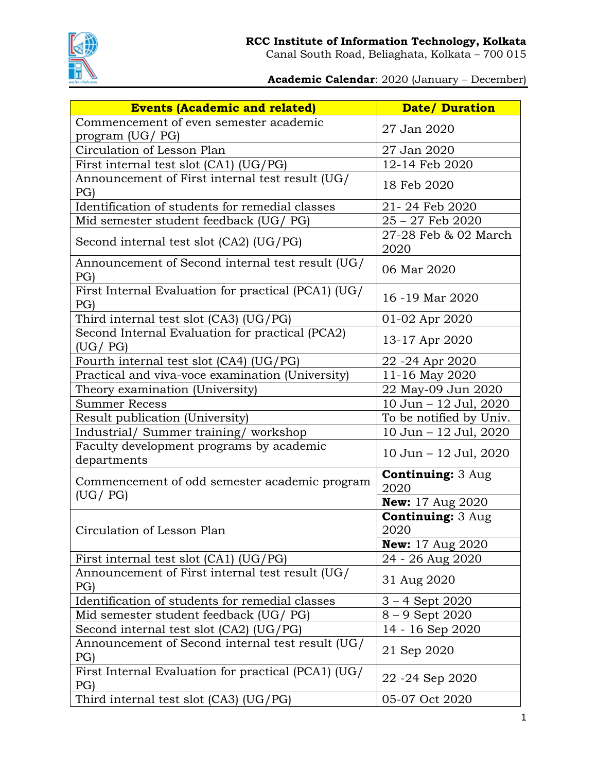

**Academic Calendar**: 2020 (January – December)

| <b>Events (Academic and related)</b>                         | <b>Date/ Duration</b>            |
|--------------------------------------------------------------|----------------------------------|
| Commencement of even semester academic                       | 27 Jan 2020                      |
| program (UG/ PG)                                             |                                  |
| Circulation of Lesson Plan                                   | 27 Jan 2020                      |
| First internal test slot (CA1) (UG/PG)                       | 12-14 Feb 2020                   |
| Announcement of First internal test result (UG/<br>PG        | 18 Feb 2020                      |
| Identification of students for remedial classes              | 21-24 Feb 2020                   |
| Mid semester student feedback (UG/ PG)                       | $25 - 27$ Feb $2020$             |
| Second internal test slot (CA2) (UG/PG)                      | 27-28 Feb & 02 March<br>2020     |
| Announcement of Second internal test result (UG/<br>PG       | 06 Mar 2020                      |
| First Internal Evaluation for practical (PCA1) (UG/<br>PG)   | 16 -19 Mar 2020                  |
| Third internal test slot (CA3) (UG/PG)                       | 01-02 Apr 2020                   |
| Second Internal Evaluation for practical (PCA2)<br>(UG / PG) | 13-17 Apr 2020                   |
| Fourth internal test slot (CA4) (UG/PG)                      | 22 - 24 Apr 2020                 |
| Practical and viva-voce examination (University)             | 11-16 May 2020                   |
| Theory examination (University)                              | 22 May-09 Jun 2020               |
| <b>Summer Recess</b>                                         | 10 Jun - 12 Jul, 2020            |
| Result publication (University)                              | To be notified by Univ.          |
| Industrial/ Summer training/ workshop                        | 10 Jun - 12 Jul, 2020            |
| Faculty development programs by academic<br>departments      | 10 Jun - 12 Jul, 2020            |
| Commencement of odd semester academic program                | <b>Continuing: 3 Aug</b><br>2020 |
| (UG / PG)                                                    | <b>New:</b> 17 Aug 2020          |
| Circulation of Lesson Plan                                   | <b>Continuing: 3 Aug</b><br>2020 |
|                                                              | <b>New:</b> 17 Aug 2020          |
| First internal test slot (CA1) (UG/PG)                       | 24 - 26 Aug 2020                 |
| Announcement of First internal test result (UG/<br>PG        | 31 Aug 2020                      |
| Identification of students for remedial classes              | $3 - 4$ Sept 2020                |
| Mid semester student feedback (UG/ PG)                       | $8 - 9$ Sept 2020                |
| Second internal test slot (CA2) (UG/PG)                      | 14 - 16 Sep 2020                 |
| Announcement of Second internal test result (UG/<br>PG       | 21 Sep 2020                      |
| First Internal Evaluation for practical (PCA1) (UG/<br>PG)   | 22 - 24 Sep 2020                 |
| Third internal test slot $(CA3)$ $(UG/PG)$                   | 05-07 Oct 2020                   |